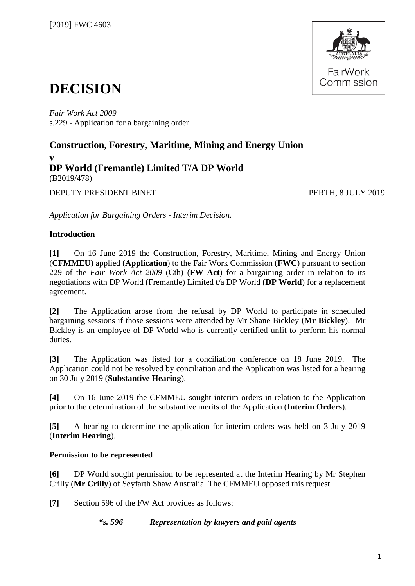

# **DECISION**

*Fair Work Act 2009*  s.229 - Application for a bargaining order

# **Construction, Forestry, Maritime, Mining and Energy Union v DP World (Fremantle) Limited T/A DP World**  (B2019/478)

DEPUTY PRESIDENT BINET PERTH, 8 JULY 2019

*Application for Bargaining Orders - Interim Decision.*

# **Introduction**

**[1]** On 16 June 2019 the Construction, Forestry, Maritime, Mining and Energy Union (**CFMMEU**) applied (**Application**) to the Fair Work Commission (**FWC**) pursuant to section 229 of the *Fair Work Act 2009* (Cth) (**FW Act**) for a bargaining order in relation to its negotiations with DP World (Fremantle) Limited t/a DP World (**DP World**) for a replacement agreement.

**[2]** The Application arose from the refusal by DP World to participate in scheduled bargaining sessions if those sessions were attended by Mr Shane Bickley (**Mr Bickley**). Mr Bickley is an employee of DP World who is currently certified unfit to perform his normal duties.

**[3]** The Application was listed for a conciliation conference on 18 June 2019. The Application could not be resolved by conciliation and the Application was listed for a hearing on 30 July 2019 (**Substantive Hearing**).

**[4]** On 16 June 2019 the CFMMEU sought interim orders in relation to the Application prior to the determination of the substantive merits of the Application (**Interim Orders**).

**[5]** A hearing to determine the application for interim orders was held on 3 July 2019 (**Interim Hearing**).

# **Permission to be represented**

**[6]** DP World sought permission to be represented at the Interim Hearing by Mr Stephen Crilly (**Mr Crilly**) of Seyfarth Shaw Australia. The CFMMEU opposed this request.

**[7]** Section 596 of the FW Act provides as follows:

*"s. 596 Representation by lawyers and paid agents*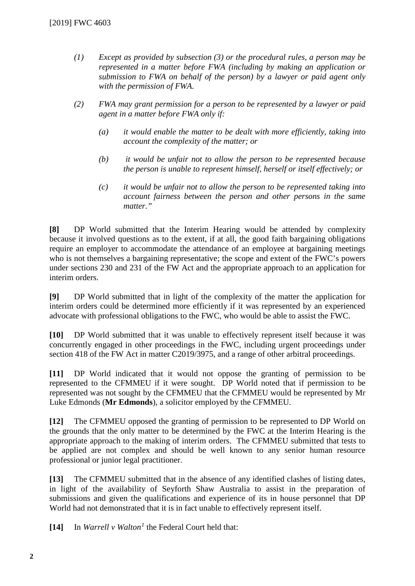- *(1) Except as provided by subsection (3) or the procedural rules, a person may be represented in a matter before FWA (including by making an application or submission to FWA on behalf of the person) by a lawyer or paid agent only with the permission of FWA.*
- *(2) FWA may grant permission for a person to be represented by a lawyer or paid agent in a matter before FWA only if:* 
	- *(a) it would enable the matter to be dealt with more efficiently, taking into account the complexity of the matter; or*
	- *(b) it would be unfair not to allow the person to be represented because the person is unable to represent himself, herself or itself effectively; or*
	- *(c) it would be unfair not to allow the person to be represented taking into account fairness between the person and other persons in the same matter."*

**[8]** DP World submitted that the Interim Hearing would be attended by complexity because it involved questions as to the extent, if at all, the good faith bargaining obligations require an employer to accommodate the attendance of an employee at bargaining meetings who is not themselves a bargaining representative; the scope and extent of the FWC's powers under sections 230 and 231 of the FW Act and the appropriate approach to an application for interim orders.

**[9]** DP World submitted that in light of the complexity of the matter the application for interim orders could be determined more efficiently if it was represented by an experienced advocate with professional obligations to the FWC, who would be able to assist the FWC.

**[10]** DP World submitted that it was unable to effectively represent itself because it was concurrently engaged in other proceedings in the FWC, including urgent proceedings under section 418 of the FW Act in matter C2019/3975, and a range of other arbitral proceedings.

**[11]** DP World indicated that it would not oppose the granting of permission to be represented to the CFMMEU if it were sought. DP World noted that if permission to be represented was not sought by the CFMMEU that the CFMMEU would be represented by Mr Luke Edmonds (**Mr Edmonds**), a solicitor employed by the CFMMEU.

**[12]** The CFMMEU opposed the granting of permission to be represented to DP World on the grounds that the only matter to be determined by the FWC at the Interim Hearing is the appropriate approach to the making of interim orders. The CFMMEU submitted that tests to be applied are not complex and should be well known to any senior human resource professional or junior legal practitioner.

**[13]** The CFMMEU submitted that in the absence of any identified clashes of listing dates, in light of the availability of Seyforth Shaw Australia to assist in the preparation of submissions and given the qualifications and experience of its in house personnel that DP World had not demonstrated that it is in fact unable to effectively represent itself.

**[14]** In *Warrell v Walton[1](#page-11-0)* the Federal Court held that: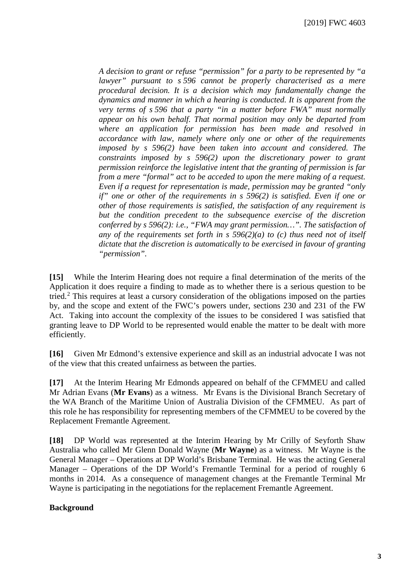*A decision to grant or refuse "permission" for a party to be represented by "a lawyer" pursuant to s 596 cannot be properly characterised as a mere procedural decision. It is a decision which may fundamentally change the dynamics and manner in which a hearing is conducted. It is apparent from the very terms of s 596 that a party "in a matter before FWA" must normally appear on his own behalf. That normal position may only be departed from where an application for permission has been made and resolved in accordance with law, namely where only one or other of the requirements imposed by s 596(2) have been taken into account and considered. The constraints imposed by s 596(2) upon the discretionary power to grant permission reinforce the legislative intent that the granting of permission is far from a mere "formal" act to be acceded to upon the mere making of a request. Even if a request for representation is made, permission may be granted "only if" one or other of the requirements in s 596(2) is satisfied. Even if one or other of those requirements is satisfied, the satisfaction of any requirement is but the condition precedent to the subsequence exercise of the discretion conferred by s 596(2): i.e., "FWA may grant permission…". The satisfaction of any of the requirements set forth in s 596(2)(a) to (c) thus need not of itself dictate that the discretion is automatically to be exercised in favour of granting "permission".*

**[15]** While the Interim Hearing does not require a final determination of the merits of the Application it does require a finding to made as to whether there is a serious question to be tried.[2](#page-11-1) This requires at least a cursory consideration of the obligations imposed on the parties by, and the scope and extent of the FWC's powers under, sections 230 and 231 of the FW Act. Taking into account the complexity of the issues to be considered I was satisfied that granting leave to DP World to be represented would enable the matter to be dealt with more efficiently.

**[16]** Given Mr Edmond's extensive experience and skill as an industrial advocate I was not of the view that this created unfairness as between the parties.

**[17]** At the Interim Hearing Mr Edmonds appeared on behalf of the CFMMEU and called Mr Adrian Evans (**Mr Evans**) as a witness. Mr Evans is the Divisional Branch Secretary of the WA Branch of the Maritime Union of Australia Division of the CFMMEU. As part of this role he has responsibility for representing members of the CFMMEU to be covered by the Replacement Fremantle Agreement.

**[18]** DP World was represented at the Interim Hearing by Mr Crilly of Seyforth Shaw Australia who called Mr Glenn Donald Wayne (**Mr Wayne**) as a witness. Mr Wayne is the General Manager – Operations at DP World's Brisbane Terminal. He was the acting General Manager – Operations of the DP World's Fremantle Terminal for a period of roughly 6 months in 2014. As a consequence of management changes at the Fremantle Terminal Mr Wayne is participating in the negotiations for the replacement Fremantle Agreement.

#### **Background**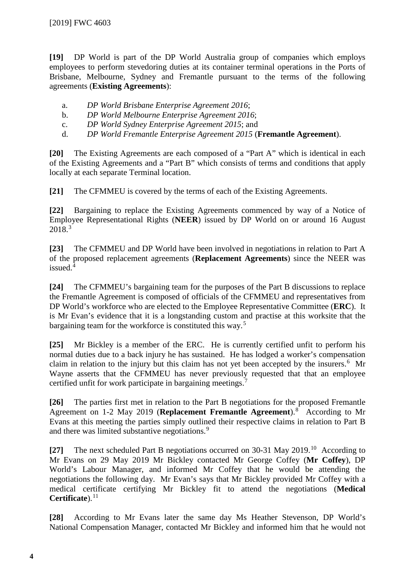**[19]** DP World is part of the DP World Australia group of companies which employs employees to perform stevedoring duties at its container terminal operations in the Ports of Brisbane, Melbourne, Sydney and Fremantle pursuant to the terms of the following agreements (**Existing Agreements**):

- a. *DP World Brisbane Enterprise Agreement 2016*;
- b. *DP World Melbourne Enterprise Agreement 2016*;
- c. *DP World Sydney Enterprise Agreement 2015*; and
- d. *DP World Fremantle Enterprise Agreement 2015* (**Fremantle Agreement**).

**[20]** The Existing Agreements are each composed of a "Part A" which is identical in each of the Existing Agreements and a "Part B" which consists of terms and conditions that apply locally at each separate Terminal location.

**[21]** The CFMMEU is covered by the terms of each of the Existing Agreements.

**[22]** Bargaining to replace the Existing Agreements commenced by way of a Notice of Employee Representational Rights (**NEER**) issued by DP World on or around 16 August 2018.[3](#page-11-2)

**[23]** The CFMMEU and DP World have been involved in negotiations in relation to Part A of the proposed replacement agreements (**Replacement Agreements**) since the NEER was issued.<sup>[4](#page-11-3)</sup>

**[24]** The CFMMEU's bargaining team for the purposes of the Part B discussions to replace the Fremantle Agreement is composed of officials of the CFMMEU and representatives from DP World's workforce who are elected to the Employee Representative Committee (**ERC**). It is Mr Evan's evidence that it is a longstanding custom and practise at this worksite that the bargaining team for the workforce is constituted this way.[5](#page-12-0)

**[25]** Mr Bickley is a member of the ERC. He is currently certified unfit to perform his normal duties due to a back injury he has sustained. He has lodged a worker's compensation claim in relation to the injury but this claim has not yet been accepted by the insurers.<sup>[6](#page-12-1)</sup> Mr Wayne asserts that the CFMMEU has never previously requested that that an employee certified unfit for work participate in bargaining meetings.

**[26]** The parties first met in relation to the Part B negotiations for the proposed Fremantle Agreement on 1-2 May 2019 (**Replacement Fremantle Agreement**). [8](#page-12-3) According to Mr Evans at this meeting the parties simply outlined their respective claims in relation to Part B and there was limited substantive negotiations.<sup>[9](#page-12-4)</sup>

**[27]** The next scheduled Part B negotiations occurred on 30-31 May 2019.[10](#page-12-5) According to Mr Evans on 29 May 2019 Mr Bickley contacted Mr George Coffey (**Mr Coffey**), DP World's Labour Manager, and informed Mr Coffey that he would be attending the negotiations the following day. Mr Evan's says that Mr Bickley provided Mr Coffey with a medical certificate certifying Mr Bickley fit to attend the negotiations (**Medical Certificate**). [11](#page-12-6)

**[28]** According to Mr Evans later the same day Ms Heather Stevenson, DP World's National Compensation Manager, contacted Mr Bickley and informed him that he would not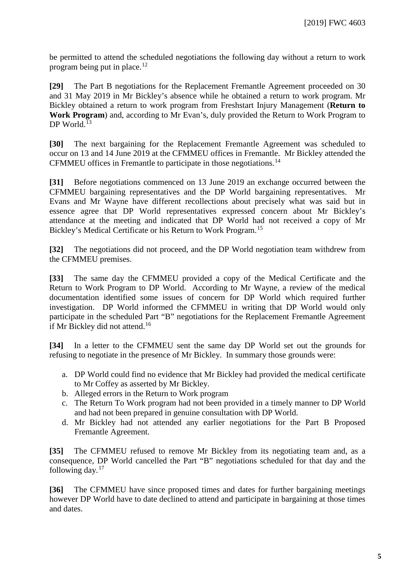be permitted to attend the scheduled negotiations the following day without a return to work program being put in place. [12](#page-12-7)

**[29]** The Part B negotiations for the Replacement Fremantle Agreement proceeded on 30 and 31 May 2019 in Mr Bickley's absence while he obtained a return to work program. Mr Bickley obtained a return to work program from Freshstart Injury Management (**Return to Work Program**) and, according to Mr Evan's, duly provided the Return to Work Program to DP World.<sup>[13](#page-12-8)</sup>

**[30]** The next bargaining for the Replacement Fremantle Agreement was scheduled to occur on 13 and 14 June 2019 at the CFMMEU offices in Fremantle. Mr Bickley attended the CFMMEU offices in Fremantle to participate in those negotiations.[14](#page-12-9)

**[31]** Before negotiations commenced on 13 June 2019 an exchange occurred between the CFMMEU bargaining representatives and the DP World bargaining representatives. Mr Evans and Mr Wayne have different recollections about precisely what was said but in essence agree that DP World representatives expressed concern about Mr Bickley's attendance at the meeting and indicated that DP World had not received a copy of Mr Bickley's Medical Certificate or his Return to Work Program.<sup>[15](#page-12-10)</sup>

**[32]** The negotiations did not proceed, and the DP World negotiation team withdrew from the CFMMEU premises.

**[33]** The same day the CFMMEU provided a copy of the Medical Certificate and the Return to Work Program to DP World. According to Mr Wayne, a review of the medical documentation identified some issues of concern for DP World which required further investigation. DP World informed the CFMMEU in writing that DP World would only participate in the scheduled Part "B" negotiations for the Replacement Fremantle Agreement if Mr Bickley did not attend. [16](#page-12-11)

**[34]** In a letter to the CFMMEU sent the same day DP World set out the grounds for refusing to negotiate in the presence of Mr Bickley. In summary those grounds were:

- a. DP World could find no evidence that Mr Bickley had provided the medical certificate to Mr Coffey as asserted by Mr Bickley.
- b. Alleged errors in the Return to Work program
- c. The Return To Work program had not been provided in a timely manner to DP World and had not been prepared in genuine consultation with DP World.
- d. Mr Bickley had not attended any earlier negotiations for the Part B Proposed Fremantle Agreement.

**[35]** The CFMMEU refused to remove Mr Bickley from its negotiating team and, as a consequence, DP World cancelled the Part "B" negotiations scheduled for that day and the following day. $17$ 

**[36]** The CFMMEU have since proposed times and dates for further bargaining meetings however DP World have to date declined to attend and participate in bargaining at those times and dates.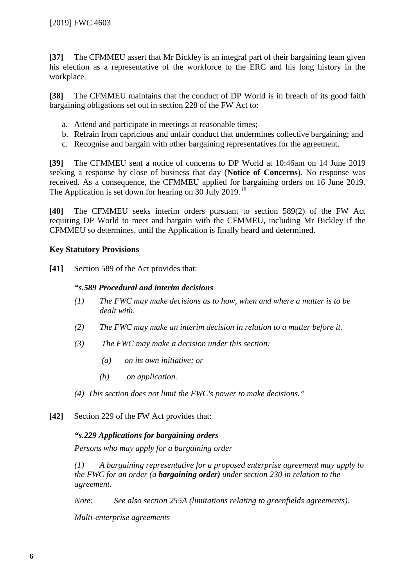**[37]** The CFMMEU assert that Mr Bickley is an integral part of their bargaining team given his election as a representative of the workforce to the ERC and his long history in the workplace.

**[38]** The CFMMEU maintains that the conduct of DP World is in breach of its good faith bargaining obligations set out in section 228 of the FW Act to:

- a. Attend and participate in meetings at reasonable times;
- b. Refrain from capricious and unfair conduct that undermines collective bargaining; and
- c. Recognise and bargain with other bargaining representatives for the agreement.

**[39]** The CFMMEU sent a notice of concerns to DP World at 10:46am on 14 June 2019 seeking a response by close of business that day (**Notice of Concerns**). No response was received. As a consequence, the CFMMEU applied for bargaining orders on 16 June 2019. The Application is set down for hearing on 30 July 2019.<sup>[18](#page-12-13)</sup>

**[40]** The CFMMEU seeks interim orders pursuant to section 589(2) of the FW Act requiring DP World to meet and bargain with the CFMMEU, including Mr Bickley if the CFMMEU so determines, until the Application is finally heard and determined.

### **Key Statutory Provisions**

**[41]** Section 589 of the Act provides that:

#### *"s.589 Procedural and interim decisions*

- *(1) The FWC may make decisions as to how, when and where a matter is to be dealt with.*
- *(2) The FWC may make an interim decision in relation to a matter before it.*
- *(3) The FWC may make a decision under this section:* 
	- *(a) on its own initiative; or*
	- *(b) on application.*
- *(4) This section does not limit the FWC's power to make decisions."*
- **[42]** Section 229 of the FW Act provides that:

# *"s.229 Applications for bargaining orders*

*Persons who may apply for a bargaining order* 

*(1) A bargaining representative for a proposed enterprise agreement may apply to the FWC for an order (a bargaining order) under section 230 in relation to the agreement.* 

*Note: See also section 255A (limitations relating to greenfields agreements).* 

*Multi-enterprise agreements*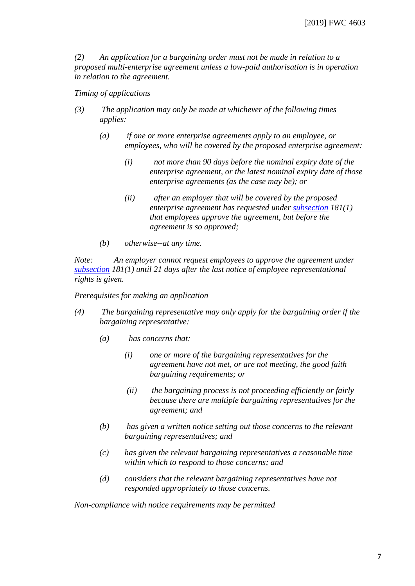*(2) An application for a bargaining order must not be made in relation to a proposed multi-enterprise agreement unless a low-paid authorisation is in operation in relation to the agreement.* 

#### *Timing of applications*

- *(3) The application may only be made at whichever of the following times applies:* 
	- *(a) if one or more enterprise agreements apply to an employee, or employees, who will be covered by the proposed enterprise agreement:* 
		- *(i) not more than 90 days before the nominal expiry date of the enterprise agreement, or the latest nominal expiry date of those enterprise agreements (as the case may be); or*
		- *(ii) after an employer that will be covered by the proposed enterprise agreement has requested under [subsection](http://www8.austlii.edu.au/cgi-bin/viewdoc/au/legis/cth/consol_act/fwa2009114/s235.html#subsection) 181(1) that employees approve the agreement, but before the agreement is so approved;*
	- *(b) otherwise--at any time.*

*Note: An employer cannot request employees to approve the agreement under [subsection](http://www8.austlii.edu.au/cgi-bin/viewdoc/au/legis/cth/consol_act/fwa2009114/s235.html#subsection) 181(1) until 21 days after the last notice of employee representational rights is given.* 

*Prerequisites for making an application* 

- *(4) The bargaining representative may only apply for the bargaining order if the bargaining representative:* 
	- *(a) has concerns that:* 
		- *(i) one or more of the bargaining representatives for the agreement have not met, or are not meeting, the good faith bargaining requirements; or*
		- *(ii) the bargaining process is not proceeding efficiently or fairly because there are multiple bargaining representatives for the agreement; and*
	- *(b) has given a written notice setting out those concerns to the relevant bargaining representatives; and*
	- *(c) has given the relevant bargaining representatives a reasonable time within which to respond to those concerns; and*
	- *(d) considers that the relevant bargaining representatives have not responded appropriately to those concerns.*

*Non-compliance with notice requirements may be permitted*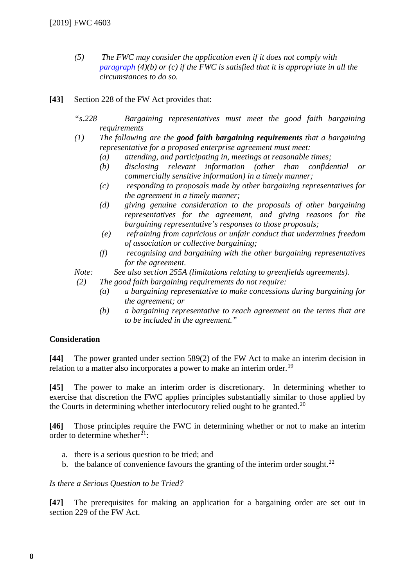- *(5) The FWC may consider the application even if it does not comply with [paragraph](http://www8.austlii.edu.au/cgi-bin/viewdoc/au/legis/cth/consol_act/fwa2009114/s238.html#paragraph) (4)(b) or (c) if the FWC is satisfied that it is appropriate in all the circumstances to do so.*
- **[43]** Section 228 of the FW Act provides that:
	- *"s.228 Bargaining representatives must meet the good faith bargaining requirements*
	- *(1) The following are the good faith bargaining requirements that a bargaining representative for a proposed enterprise agreement must meet:*
		- *(a) attending, and participating in, meetings at reasonable times;*
		- *(b) disclosing relevant information (other than confidential or commercially sensitive information) in a timely manner;*
		- *(c) responding to proposals made by other bargaining representatives for the agreement in a timely manner;*
		- *(d) giving genuine consideration to the proposals of other bargaining representatives for the agreement, and giving reasons for the bargaining representative's responses to those proposals;*
		- *(e) refraining from capricious or unfair conduct that undermines freedom of association or collective bargaining;*
		- *(f) recognising and bargaining with the other bargaining representatives for the agreement.*

*Note: See also section 255A (limitations relating to greenfields agreements).*

*(2) The good faith bargaining requirements do not require:*

- *(a) a bargaining representative to make concessions during bargaining for the agreement; or*
- *(b) a bargaining representative to reach agreement on the terms that are to be included in the agreement."*

# **Consideration**

**[44]** The power granted under section 589(2) of the FW Act to make an interim decision in relation to a matter also incorporates a power to make an interim order.<sup>[19](#page-12-14)</sup>

**[45]** The power to make an interim order is discretionary. In determining whether to exercise that discretion the FWC applies principles substantially similar to those applied by the Courts in determining whether interlocutory relied ought to be granted.<sup>[20](#page-12-15)</sup>

**[46]** Those principles require the FWC in determining whether or not to make an interim order to determine whether<sup>21</sup>:

- a. there is a serious question to be tried; and
- b. the balance of convenience favours the granting of the interim order sought.<sup>[22](#page-12-17)</sup>

*Is there a Serious Question to be Tried?*

**[47]** The prerequisites for making an application for a bargaining order are set out in section 229 of the FW Act.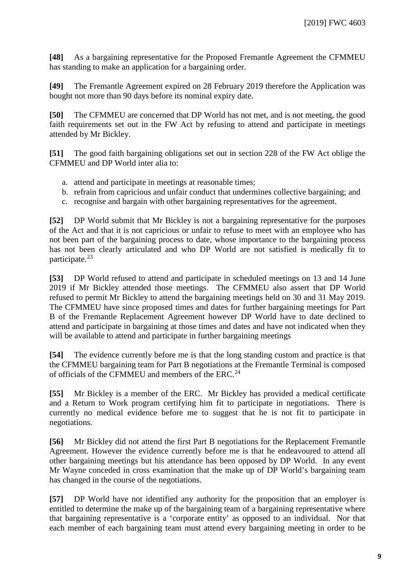**[48]** As a bargaining representative for the Proposed Fremantle Agreement the CFMMEU has standing to make an application for a bargaining order.

**[49]** The Fremantle Agreement expired on 28 February 2019 therefore the Application was bought not more than 90 days before its nominal expiry date.

**[50]** The CFMMEU are concerned that DP World has not met, and is not meeting, the good faith requirements set out in the FW Act by refusing to attend and participate in meetings attended by Mr Bickley.

**[51]** The good faith bargaining obligations set out in section 228 of the FW Act oblige the CFMMEU and DP World inter alia to:

- a. attend and participate in meetings at reasonable times;
- b. refrain from capricious and unfair conduct that undermines collective bargaining; and
- c. recognise and bargain with other bargaining representatives for the agreement.

**[52]** DP World submit that Mr Bickley is not a bargaining representative for the purposes of the Act and that it is not capricious or unfair to refuse to meet with an employee who has not been part of the bargaining process to date, whose importance to the bargaining process has not been clearly articulated and who DP World are not satisfied is medically fit to participate.[23](#page-12-18)

**[53]** DP World refused to attend and participate in scheduled meetings on 13 and 14 June 2019 if Mr Bickley attended those meetings. The CFMMEU also assert that DP World refused to permit Mr Bickley to attend the bargaining meetings held on 30 and 31 May 2019. The CFMMEU have since proposed times and dates for further bargaining meetings for Part B of the Fremantle Replacement Agreement however DP World have to date declined to attend and participate in bargaining at those times and dates and have not indicated when they will be available to attend and participate in further bargaining meetings

**[54]** The evidence currently before me is that the long standing custom and practice is that the CFMMEU bargaining team for Part B negotiations at the Fremantle Terminal is composed of officials of the CFMMEU and members of the ERC.<sup>[24](#page-12-19)</sup>

**[55]** Mr Bickley is a member of the ERC. Mr Bickley has provided a medical certificate and a Return to Work program certifying him fit to participate in negotiations. There is currently no medical evidence before me to suggest that he is not fit to participate in negotiations.

**[56]** Mr Bickley did not attend the first Part B negotiations for the Replacement Fremantle Agreement. However the evidence currently before me is that he endeavoured to attend all other bargaining meetings but his attendance has been opposed by DP World. In any event Mr Wayne conceded in cross examination that the make up of DP World's bargaining team has changed in the course of the negotiations.

**[57]** DP World have not identified any authority for the proposition that an employer is entitled to determine the make up of the bargaining team of a bargaining representative where that bargaining representative is a 'corporate entity' as opposed to an individual. Nor that each member of each bargaining team must attend every bargaining meeting in order to be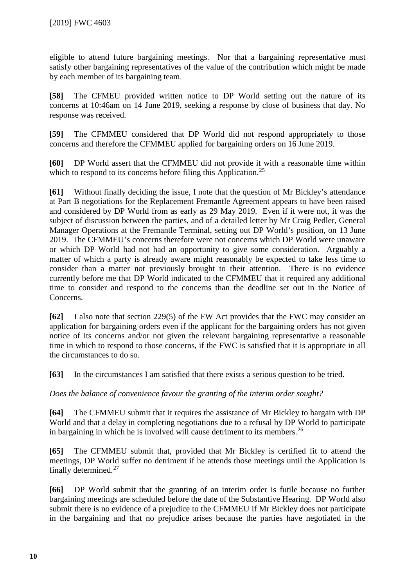eligible to attend future bargaining meetings. Nor that a bargaining representative must satisfy other bargaining representatives of the value of the contribution which might be made by each member of its bargaining team.

**[58]** The CFMEU provided written notice to DP World setting out the nature of its concerns at 10:46am on 14 June 2019, seeking a response by close of business that day. No response was received.

**[59]** The CFMMEU considered that DP World did not respond appropriately to those concerns and therefore the CFMMEU applied for bargaining orders on 16 June 2019.

**[60]** DP World assert that the CFMMEU did not provide it with a reasonable time within which to respond to its concerns before filing this Application.<sup>[25](#page-12-20)</sup>

**[61]** Without finally deciding the issue, I note that the question of Mr Bickley's attendance at Part B negotiations for the Replacement Fremantle Agreement appears to have been raised and considered by DP World from as early as 29 May 2019. Even if it were not, it was the subject of discussion between the parties, and of a detailed letter by Mr Craig Pedler, General Manager Operations at the Fremantle Terminal, setting out DP World's position, on 13 June 2019. The CFMMEU's concerns therefore were not concerns which DP World were unaware or which DP World had not had an opportunity to give some consideration. Arguably a matter of which a party is already aware might reasonably be expected to take less time to consider than a matter not previously brought to their attention. There is no evidence currently before me that DP World indicated to the CFMMEU that it required any additional time to consider and respond to the concerns than the deadline set out in the Notice of Concerns.

**[62]** I also note that section 229(5) of the FW Act provides that the FWC may consider an application for bargaining orders even if the applicant for the bargaining orders has not given notice of its concerns and/or not given the relevant bargaining representative a reasonable time in which to respond to those concerns, if the FWC is satisfied that it is appropriate in all the circumstances to do so.

**[63]** In the circumstances I am satisfied that there exists a serious question to be tried.

*Does the balance of convenience favour the granting of the interim order sought?*

**[64]** The CFMMEU submit that it requires the assistance of Mr Bickley to bargain with DP World and that a delay in completing negotiations due to a refusal by DP World to participate in bargaining in which he is involved will cause detriment to its members.<sup>[26](#page-12-21)</sup>

**[65]** The CFMMEU submit that, provided that Mr Bickley is certified fit to attend the meetings, DP World suffer no detriment if he attends those meetings until the Application is finally determined. [27](#page-12-22) 

**[66]** DP World submit that the granting of an interim order is futile because no further bargaining meetings are scheduled before the date of the Substantive Hearing. DP World also submit there is no evidence of a prejudice to the CFMMEU if Mr Bickley does not participate in the bargaining and that no prejudice arises because the parties have negotiated in the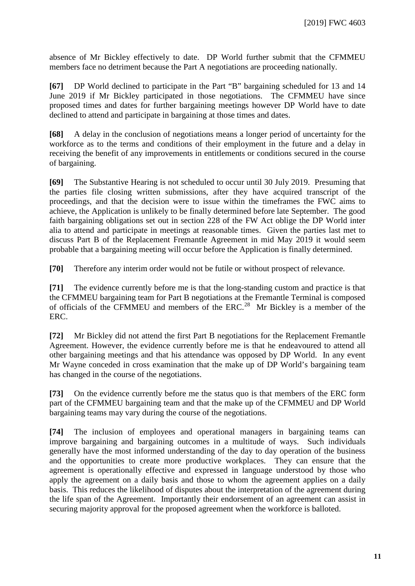absence of Mr Bickley effectively to date. DP World further submit that the CFMMEU members face no detriment because the Part A negotiations are proceeding nationally.

**[67]** DP World declined to participate in the Part "B" bargaining scheduled for 13 and 14 June 2019 if Mr Bickley participated in those negotiations. The CFMMEU have since proposed times and dates for further bargaining meetings however DP World have to date declined to attend and participate in bargaining at those times and dates.

**[68]** A delay in the conclusion of negotiations means a longer period of uncertainty for the workforce as to the terms and conditions of their employment in the future and a delay in receiving the benefit of any improvements in entitlements or conditions secured in the course of bargaining.

**[69]** The Substantive Hearing is not scheduled to occur until 30 July 2019. Presuming that the parties file closing written submissions, after they have acquired transcript of the proceedings, and that the decision were to issue within the timeframes the FWC aims to achieve, the Application is unlikely to be finally determined before late September. The good faith bargaining obligations set out in section 228 of the FW Act oblige the DP World inter alia to attend and participate in meetings at reasonable times. Given the parties last met to discuss Part B of the Replacement Fremantle Agreement in mid May 2019 it would seem probable that a bargaining meeting will occur before the Application is finally determined.

**[70]** Therefore any interim order would not be futile or without prospect of relevance.

**[71]** The evidence currently before me is that the long-standing custom and practice is that the CFMMEU bargaining team for Part B negotiations at the Fremantle Terminal is composed of officials of the CFMMEU and members of the ERC.[28](#page-12-23) Mr Bickley is a member of the ERC.

**[72]** Mr Bickley did not attend the first Part B negotiations for the Replacement Fremantle Agreement. However, the evidence currently before me is that he endeavoured to attend all other bargaining meetings and that his attendance was opposed by DP World. In any event Mr Wayne conceded in cross examination that the make up of DP World's bargaining team has changed in the course of the negotiations.

**[73]** On the evidence currently before me the status quo is that members of the ERC form part of the CFMMEU bargaining team and that the make up of the CFMMEU and DP World bargaining teams may vary during the course of the negotiations.

**[74]** The inclusion of employees and operational managers in bargaining teams can improve bargaining and bargaining outcomes in a multitude of ways. Such individuals generally have the most informed understanding of the day to day operation of the business and the opportunities to create more productive workplaces. They can ensure that the agreement is operationally effective and expressed in language understood by those who apply the agreement on a daily basis and those to whom the agreement applies on a daily basis. This reduces the likelihood of disputes about the interpretation of the agreement during the life span of the Agreement. Importantly their endorsement of an agreement can assist in securing majority approval for the proposed agreement when the workforce is balloted.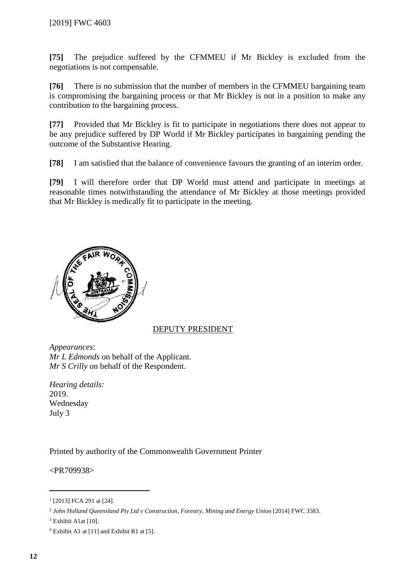**[75]** The prejudice suffered by the CFMMEU if Mr Bickley is excluded from the negotiations is not compensable.

**[76]** There is no submission that the number of members in the CFMMEU bargaining team is compromising the bargaining process or that Mr Bickley is not in a position to make any contribution to the bargaining process.

**[77]** Provided that Mr Bickley is fit to participate in negotiations there does not appear to be any prejudice suffered by DP World if Mr Bickley participates in bargaining pending the outcome of the Substantive Hearing.

**[78]** I am satisfied that the balance of convenience favours the granting of an interim order.

**[79]** I will therefore order that DP World must attend and participate in meetings at reasonable times notwithstanding the attendance of Mr Bickley at those meetings provided that Mr Bickley is medically fit to participate in the meeting.



# DEPUTY PRESIDENT

*Appearances*: *Mr L Edmonds* on behalf of the Applicant. *Mr S Crilly* on behalf of the Respondent.

*Hearing details:* 2019. Wednesday July 3

Printed by authority of the Commonwealth Government Printer

<PR709938>

<span id="page-11-0"></span> <sup>1</sup> [2013] FCA 291 at [24].

<span id="page-11-1"></span><sup>&</sup>lt;sup>2</sup> John Holland Queensland Pty Ltd v Construction, Forestry, Mining and Energy Union [2014] FWC 3583.

<span id="page-11-2"></span><sup>&</sup>lt;sup>3</sup> Exhibit A1at [10].

<span id="page-11-3"></span> $4$  Exhibit A1 at [11] and Exhibit R1 at [5].